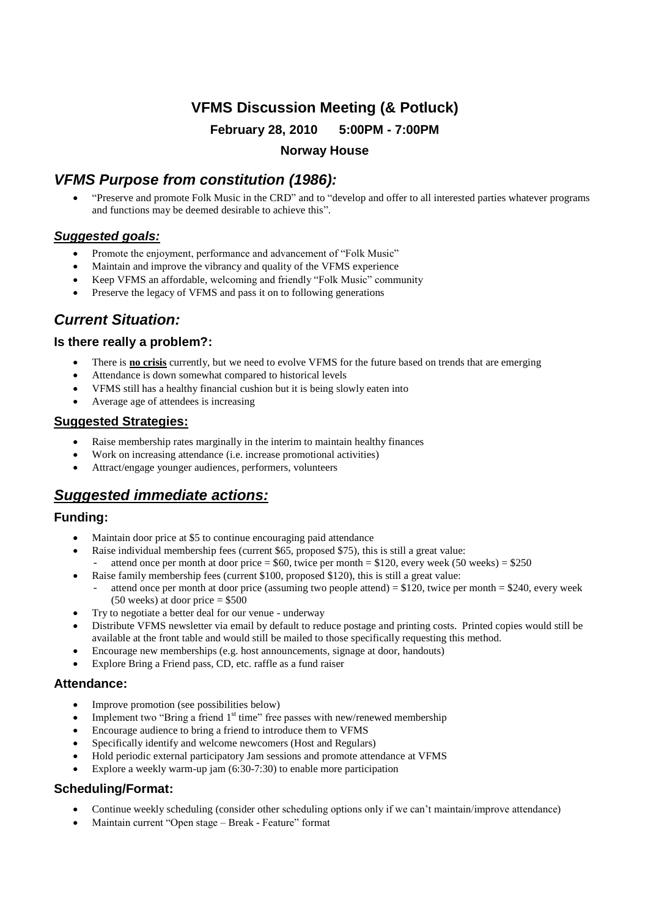# **VFMS Discussion Meeting (& Potluck)**

**February 28, 2010 5:00PM - 7:00PM**

**Norway House**

# *VFMS Purpose from constitution (1986):*

 "Preserve and promote Folk Music in the CRD"and to "develop and offer to all interested parties whatever programs and functions may be deemed desirable to achieve this".

## *Suggested goals:*

- Promote the enjoyment, performance and advancement of "Folk Music"
- Maintain and improve the vibrancy and quality of the VFMS experience
- Keep VFMS an affordable, welcoming and friendly "Folk Music" community
- Preserve the legacy of VFMS and pass it on to following generations

## *Current Situation:*

### **Is there really a problem?:**

- There is **no crisis** currently, but we need to evolve VFMS for the future based on trends that are emerging
- Attendance is down somewhat compared to historical levels
- VFMS still has a healthy financial cushion but it is being slowly eaten into
- Average age of attendees is increasing

#### **Suggested Strategies:**

- Raise membership rates marginally in the interim to maintain healthy finances
- Work on increasing attendance (i.e. increase promotional activities)
- Attract/engage younger audiences, performers, volunteers

## *Suggested immediate actions:*

### **Funding:**

- Maintain door price at \$5 to continue encouraging paid attendance
- Raise individual membership fees (current \$65, proposed \$75), this is still a great value: attend once per month at door price  $= $60$ , twice per month  $= $120$ , every week (50 weeks)  $= $250$
- Raise family membership fees (current \$100, proposed \$120), this is still a great value: attend once per month at door price (assuming two people attend) =  $$120$ , twice per month =  $$240$ , every week  $(50 \text{ weeks})$  at door price = \$500
- Try to negotiate a better deal for our venue underway
- Distribute VFMS newsletter via email by default to reduce postage and printing costs. Printed copies would still be available at the front table and would still be mailed to those specifically requesting this method.
- Encourage new memberships (e.g. host announcements, signage at door, handouts)
- Explore Bring a Friend pass, CD, etc. raffle as a fund raiser

#### **Attendance:**

- Improve promotion (see possibilities below)
- Implement two "Bring a friend  $1<sup>st</sup>$  time" free passes with new/renewed membership
- Encourage audience to bring a friend to introduce them to VFMS
- Specifically identify and welcome newcomers (Host and Regulars)
- Hold periodic external participatory Jam sessions and promote attendance at VFMS
- Explore a weekly warm-up jam (6:30-7:30) to enable more participation

## **Scheduling/Format:**

- Continue weekly scheduling (consider other scheduling options only if we can't maintain/improve attendance)
- Maintain current "Open stage Break Feature" format